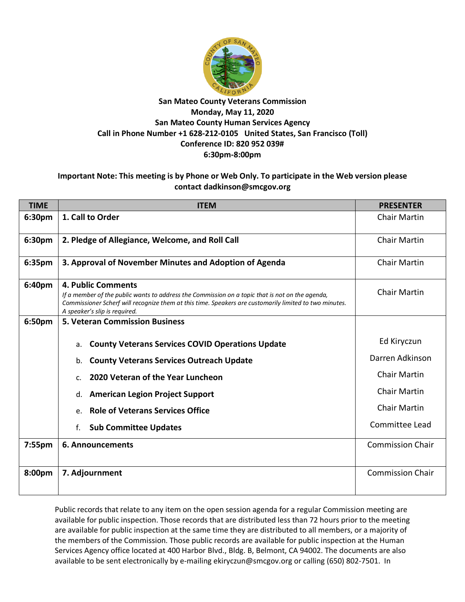

## **San Mateo County Veterans Commission Monday, May 11, 2020 San Mateo County Human Services Agency Call in Phone Number +1 628-212-0105 United States, San Francisco (Toll) Conference ID: 820 952 039# 6:30pm-8:00pm**

## **Important Note: This meeting is by Phone or Web Only. To participate in the Web version please contact dadkinson@smcgov.org**

| <b>TIME</b> | <b>ITEM</b>                                                                                                                                                                                                                                                      | <b>PRESENTER</b>        |
|-------------|------------------------------------------------------------------------------------------------------------------------------------------------------------------------------------------------------------------------------------------------------------------|-------------------------|
| 6:30pm      | 1. Call to Order                                                                                                                                                                                                                                                 | <b>Chair Martin</b>     |
| 6:30pm      | 2. Pledge of Allegiance, Welcome, and Roll Call                                                                                                                                                                                                                  | <b>Chair Martin</b>     |
| 6:35pm      | 3. Approval of November Minutes and Adoption of Agenda                                                                                                                                                                                                           | <b>Chair Martin</b>     |
| 6:40pm      | 4. Public Comments<br>If a member of the public wants to address the Commission on a topic that is not on the agenda,<br>Commissioner Scherf will recognize them at this time. Speakers are customarily limited to two minutes.<br>A speaker's slip is required. | <b>Chair Martin</b>     |
| 6:50pm      | <b>5. Veteran Commission Business</b>                                                                                                                                                                                                                            |                         |
|             | <b>County Veterans Services COVID Operations Update</b><br>a.                                                                                                                                                                                                    | Ed Kiryczun             |
|             | <b>County Veterans Services Outreach Update</b><br>b.                                                                                                                                                                                                            | Darren Adkinson         |
|             | 2020 Veteran of the Year Luncheon<br>C.                                                                                                                                                                                                                          | <b>Chair Martin</b>     |
|             | <b>American Legion Project Support</b><br>d.                                                                                                                                                                                                                     | <b>Chair Martin</b>     |
|             | <b>Role of Veterans Services Office</b><br>e.                                                                                                                                                                                                                    | <b>Chair Martin</b>     |
|             | <b>Sub Committee Updates</b><br>f.                                                                                                                                                                                                                               | Committee Lead          |
| 7:55pm      | <b>6. Announcements</b>                                                                                                                                                                                                                                          | <b>Commission Chair</b> |
| 8:00pm      | 7. Adjournment                                                                                                                                                                                                                                                   | <b>Commission Chair</b> |

Public records that relate to any item on the open session agenda for a regular Commission meeting are available for public inspection. Those records that are distributed less than 72 hours prior to the meeting are available for public inspection at the same time they are distributed to all members, or a majority of the members of the Commission. Those public records are available for public inspection at the Human Services Agency office located at 400 Harbor Blvd., Bldg. B, Belmont, CA 94002. The documents are also available to be sent electronically by e-mailing ekiryczun@smcgov.org or calling (650) 802-7501. In